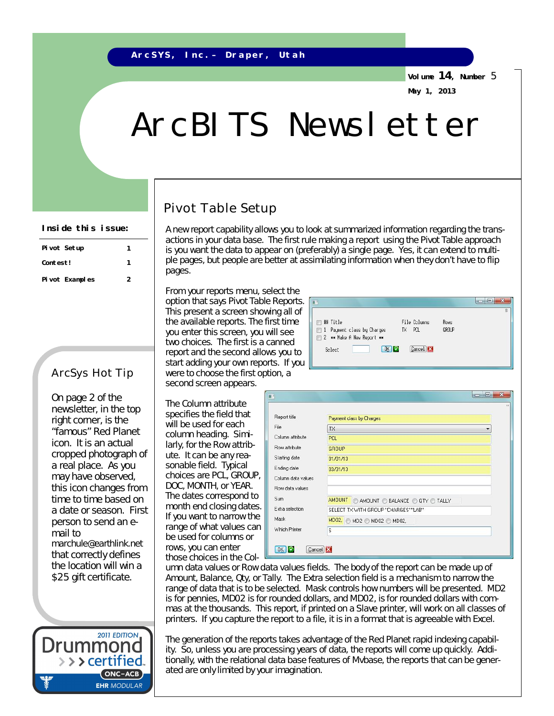**Volume 14, Number** 5 **May 1, 2013**

# ArcBITS Newsletter

## Pivot Table Setup

A new report capability allows you to look at summarized information regarding the transactions in your data base. The first rule making a report using the Pivot Table approach is you want the data to appear on (preferably) a single page. Yes, it can extend to multiple pages, but people are better at assimilating information when they don't have to flip pages.

From your reports menu, select the option that says Pivot Table Reports. This present a screen showing all of the available reports. The first time you enter this screen, you will see two choices. The first is a canned report and the second allows you to start adding your own reports. If you were to choose the first option, a second screen appears.

File Columns **■ 郴 Title** Rows 1 Payment class by Charges TX PCL GROUP 2 \*\* Make A New Report \*\* **OK C**ancel X Select

The *Column attribute*  specifies the field that will be used for each column heading. Similarly, for the *Row attribute*. It can be any reasonable field. Typical choices are PCL, GROUP, DOC, MONTH, or YEAR. The *dates* correspond to month end closing dates. If you want to narrow the range of what values can be used for columns or rows, you can enter those choices in the *Col-*

| Report title       | Payment class by Charges                      |
|--------------------|-----------------------------------------------|
| File               | <b>TX</b>                                     |
| Column attribute   | <b>PCL</b>                                    |
| Row attribute      | <b>GROUP</b>                                  |
| Starting date      | 01/01/13                                      |
| Ending date        | 03/31/13                                      |
| Column data values |                                               |
| Row data values    |                                               |
| Sum                | <b>AMOUNT</b><br>AMOUNT BALANCE O QTY O TALLY |
| Extra selection    | SELECT TX WITH GROUP "CHARGES" "LAB"          |
| Mask               | MD02. MD2 MD02 MD02,                          |
| Which Printer      | s                                             |

*umn data values* or *Row data values* fields. The body of the report can be made up of *Amount, Balance, Qty, or Tally*. The *Extra selection* field is a mechanism to narrow the range of data that is to be selected. *Mask* controls how numbers will be presented. MD2 is for pennies, MD02 is for rounded dollars, and MD02, is for rounded dollars with commas at the thousands. This report, if printed on a Slave printer, will work on all classes of printers. If you capture the report to a file, it is in a format that is agreeable with Excel.

The generation of the reports takes advantage of the Red Planet rapid indexing capability. So, unless you are processing years of data, the reports will come up quickly. Additionally, with the relational data base features of Mvbase, the reports that can be generated are only limited by your imagination.

#### **Inside this issue:**

| Pivot Setup     |   |
|-----------------|---|
| Contest!        |   |
| Pi vot Examples | 2 |

### ArcSys Hot Tip

On page 2 of the newsletter, in the top right corner, is the "famous" Red Planet icon. It is an actual cropped photograph of a real place. As you may have observed, this icon changes from time to time based on a date or season. First person to send an email to [marchule@earthlink.net](mailto:marchule@earthlink.net)  that correctly defines the location will win a \$25 gift certificate.